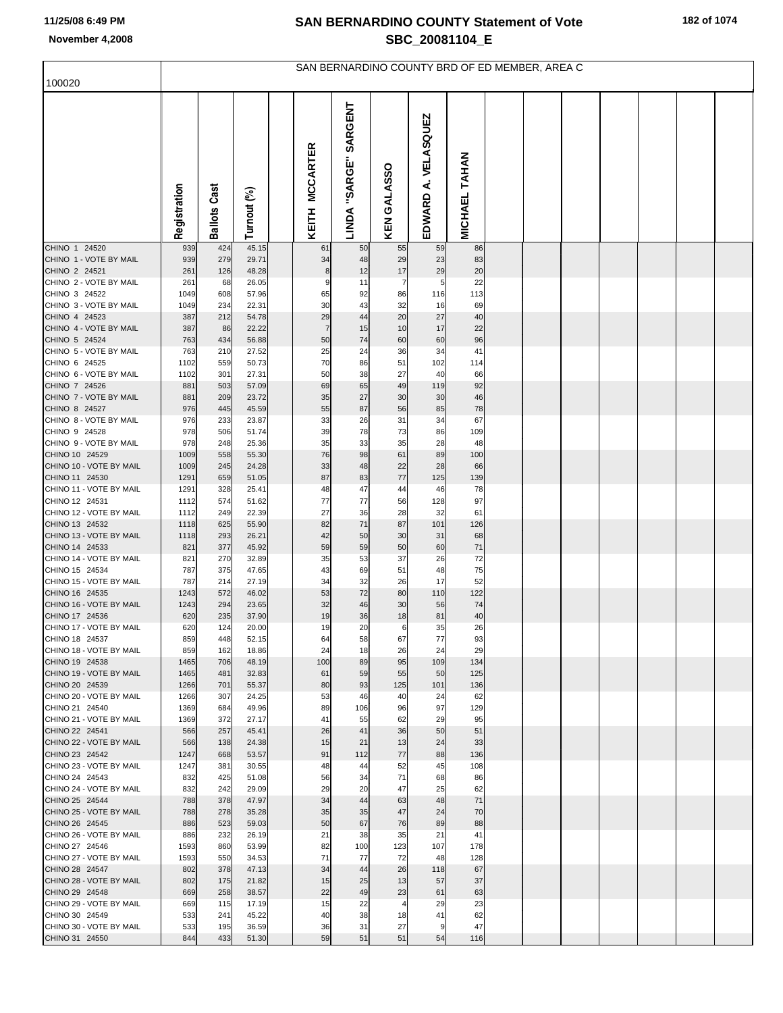|  | 182 of 1074 |  |  |
|--|-------------|--|--|
|--|-------------|--|--|

| 100020                                    | SAN BERNARDINO COUNTY BRD OF ED MEMBER, AREA C |                     |                |  |                |                                    |             |                        |               |  |  |  |  |  |  |  |
|-------------------------------------------|------------------------------------------------|---------------------|----------------|--|----------------|------------------------------------|-------------|------------------------|---------------|--|--|--|--|--|--|--|
|                                           |                                                |                     |                |  |                |                                    |             |                        |               |  |  |  |  |  |  |  |
|                                           | Registration                                   | <b>Ballots Cast</b> | Turnout (%)    |  | KEITH MCCARTER | SARGENT<br>"SARGE"<br><b>LINDA</b> | KEN GALASSO | A. VELASQUEZ<br>EDWARD | MICHAEL TAHAN |  |  |  |  |  |  |  |
| CHINO 1 24520<br>CHINO 1 - VOTE BY MAIL   | 939<br>939                                     | 424<br>279          | 45.15<br>29.71 |  | 61<br>34       | 50<br>48                           | 55<br>29    | 59<br>23               | 86<br>83      |  |  |  |  |  |  |  |
| CHINO 2 24521                             | 261                                            | 126                 | 48.28          |  | 8              | 12                                 | 17          | 29                     | 20            |  |  |  |  |  |  |  |
| CHINO 2 - VOTE BY MAIL                    | 261                                            | 68                  | 26.05          |  | 9              | 11                                 | 7           | 5                      | 22            |  |  |  |  |  |  |  |
| CHINO 3 24522<br>CHINO 3 - VOTE BY MAIL   | 1049<br>1049                                   | 608<br>234          | 57.96<br>22.31 |  | 65<br>30       | 92<br>43                           | 86<br>32    | 116<br>16              | 113<br>69     |  |  |  |  |  |  |  |
| CHINO 4 24523                             | 387                                            | 212                 | 54.78          |  | 29             | 44                                 | 20          | 27                     | 40            |  |  |  |  |  |  |  |
| CHINO 4 - VOTE BY MAIL                    | 387                                            | 86                  | 22.22          |  | 7              | 15                                 | 10          | 17                     | 22            |  |  |  |  |  |  |  |
| CHINO 5 24524<br>CHINO 5 - VOTE BY MAIL   | 763<br>763                                     | 434<br>210          | 56.88<br>27.52 |  | 50<br>25       | 74<br>24                           | 60<br>36    | 60<br>34               | 96<br>41      |  |  |  |  |  |  |  |
| CHINO 6 24525                             | 1102                                           | 559                 | 50.73          |  | 70             | 86                                 | 51          | 102                    | 114           |  |  |  |  |  |  |  |
| CHINO 6 - VOTE BY MAIL                    | 1102                                           | 301                 | 27.31          |  | 50             | 38                                 | 27          | 40                     | 66            |  |  |  |  |  |  |  |
| CHINO 7 24526<br>CHINO 7 - VOTE BY MAIL   | 881<br>881                                     | 503<br>209          | 57.09<br>23.72 |  | 69<br>35       | 65<br>27                           | 49<br>30    | 119<br>30              | 92<br>46      |  |  |  |  |  |  |  |
| CHINO 8 24527                             | 976                                            | 445                 | 45.59          |  | 55             | 87                                 | 56          | 85                     | 78            |  |  |  |  |  |  |  |
| CHINO 8 - VOTE BY MAIL<br>CHINO 9 24528   | 976                                            | 233                 | 23.87          |  | 33             | 26                                 | 31          | 34                     | 67            |  |  |  |  |  |  |  |
| CHINO 9 - VOTE BY MAIL                    | 978<br>978                                     | 506<br>248          | 51.74<br>25.36 |  | 39<br>35       | 78<br>33                           | 73<br>35    | 86<br>28               | 109<br>48     |  |  |  |  |  |  |  |
| CHINO 10 24529                            | 1009                                           | 558                 | 55.30          |  | 76             | 98                                 | 61          | 89                     | 100           |  |  |  |  |  |  |  |
| CHINO 10 - VOTE BY MAIL<br>CHINO 11 24530 | 1009<br>1291                                   | 245<br>659          | 24.28<br>51.05 |  | 33<br>87       | 48<br>83                           | 22<br>77    | 28<br>125              | 66<br>139     |  |  |  |  |  |  |  |
| CHINO 11 - VOTE BY MAIL                   | 1291                                           | 328                 | 25.41          |  | 48             | 47                                 | 44          | 46                     | 78            |  |  |  |  |  |  |  |
| CHINO 12 24531                            | 1112                                           | 574                 | 51.62          |  | 77             | 77                                 | 56          | 128                    | 97            |  |  |  |  |  |  |  |
| CHINO 12 - VOTE BY MAIL<br>CHINO 13 24532 | 1112<br>1118                                   | 249<br>625          | 22.39<br>55.90 |  | 27<br>82       | 36<br>71                           | 28<br>87    | 32<br>101              | 61<br>126     |  |  |  |  |  |  |  |
| CHINO 13 - VOTE BY MAIL                   | 1118                                           | 293                 | 26.21          |  | 42             | 50                                 | 30          | 31                     | 68            |  |  |  |  |  |  |  |
| CHINO 14 24533<br>CHINO 14 - VOTE BY MAIL | 821<br>821                                     | 377<br>270          | 45.92<br>32.89 |  | 59<br>35       | 59                                 | 50<br>37    | 60                     | 71<br>72      |  |  |  |  |  |  |  |
| CHINO 15 24534                            | 787                                            | 375                 | 47.65          |  | 43             | 53<br>69                           | 51          | 26<br>48               | 75            |  |  |  |  |  |  |  |
| CHINO 15 - VOTE BY MAIL                   | 787                                            | 214                 | 27.19          |  | 34             | 32                                 | 26          | 17                     | 52            |  |  |  |  |  |  |  |
| CHINO 16 24535<br>CHINO 16 - VOTE BY MAIL | 1243<br>1243                                   | 572<br>294          | 46.02<br>23.65 |  | 53<br>32       | 72<br>46                           | 80<br>30    | 110<br>56              | 122<br>74     |  |  |  |  |  |  |  |
| CHINO 17 24536                            | 620                                            | 235                 | 37.90          |  | 19             | 36                                 | 18          | 81                     | 40            |  |  |  |  |  |  |  |
| CHINO 17 - VOTE BY MAIL                   | 620                                            | 124                 | 20.00          |  | 19             | 20                                 | 6           | 35                     | 26            |  |  |  |  |  |  |  |
| CHINO 18 24537<br>CHINO 18 - VOTE BY MAIL | 859<br>859                                     | 448<br>162          | 52.15<br>18.86 |  | 64<br>24       | 58<br>18                           | 67<br>26    | 77<br>24               | 93<br>29      |  |  |  |  |  |  |  |
| CHINO 19 24538                            | 1465                                           | 706                 | 48.19          |  | 100            | 89                                 | 95          | 109                    | 134           |  |  |  |  |  |  |  |
| CHINO 19 - VOTE BY MAIL                   | 1465                                           | 481                 | 32.83          |  | 61             | 59                                 | 55          | 50                     | 125           |  |  |  |  |  |  |  |
| CHINO 20 24539<br>CHINO 20 - VOTE BY MAIL | 1266<br>1266                                   | 701<br>307          | 55.37<br>24.25 |  | 80<br>53       | 93<br>46                           | 125<br>40   | 101<br>24              | 136<br>62     |  |  |  |  |  |  |  |
| CHINO 21 24540                            | 1369                                           | 684                 | 49.96          |  | 89             | 106                                | 96          | 97                     | 129           |  |  |  |  |  |  |  |
| CHINO 21 - VOTE BY MAIL<br>CHINO 22 24541 | 1369<br>566                                    | 372<br>257          | 27.17<br>45.41 |  | 41<br>26       | 55<br>41                           | 62<br>36    | 29<br>50               | 95<br>51      |  |  |  |  |  |  |  |
| CHINO 22 - VOTE BY MAIL                   | 566                                            | 138                 | 24.38          |  | 15             | 21                                 | 13          | 24                     | 33            |  |  |  |  |  |  |  |
| CHINO 23 24542                            | 1247                                           | 668                 | 53.57          |  | 91             | 112                                | 77          | 88                     | 136           |  |  |  |  |  |  |  |
| CHINO 23 - VOTE BY MAIL<br>CHINO 24 24543 | 1247<br>832                                    | 381<br>425          | 30.55<br>51.08 |  | 48<br>56       | 44<br>34                           | 52<br>71    | 45<br>68               | 108<br>86     |  |  |  |  |  |  |  |
| CHINO 24 - VOTE BY MAIL                   | 832                                            | 242                 | 29.09          |  | 29             | 20                                 | 47          | 25                     | 62            |  |  |  |  |  |  |  |
| CHINO 25 24544                            | 788                                            | 378                 | 47.97          |  | 34             | 44                                 | 63          | 48                     | 71            |  |  |  |  |  |  |  |
| CHINO 25 - VOTE BY MAIL<br>CHINO 26 24545 | 788<br>886                                     | 278<br>523          | 35.28<br>59.03 |  | 35<br>50       | 35<br>67                           | 47<br>76    | 24<br>89               | 70<br>88      |  |  |  |  |  |  |  |
| CHINO 26 - VOTE BY MAIL                   | 886                                            | 232                 | 26.19          |  | 21             | 38                                 | 35          | 21                     | 41            |  |  |  |  |  |  |  |
| CHINO 27 24546                            | 1593                                           | 860<br>550          | 53.99          |  | 82<br>71       | 100<br>77                          | 123         | 107                    | 178           |  |  |  |  |  |  |  |
| CHINO 27 - VOTE BY MAIL<br>CHINO 28 24547 | 1593<br>802                                    | 378                 | 34.53<br>47.13 |  | 34             | 44                                 | 72<br>26    | 48<br>118              | 128<br>67     |  |  |  |  |  |  |  |
| CHINO 28 - VOTE BY MAIL                   | 802                                            | 175                 | 21.82          |  | 15             | 25                                 | 13          | 57                     | 37            |  |  |  |  |  |  |  |
| CHINO 29 24548<br>CHINO 29 - VOTE BY MAIL | 669                                            | 258<br>115          | 38.57          |  | 22             | 49                                 | 23<br>4     | 61                     | 63            |  |  |  |  |  |  |  |
| CHINO 30 24549                            | 669<br>533                                     | 241                 | 17.19<br>45.22 |  | 15<br>40       | 22<br>38                           | 18          | 29<br>41               | 23<br>62      |  |  |  |  |  |  |  |
| CHINO 30 - VOTE BY MAIL                   | 533                                            | 195                 | 36.59          |  | 36             | 31                                 | 27          | 9                      | 47            |  |  |  |  |  |  |  |
| CHINO 31 24550                            | 844                                            | 433                 | 51.30          |  | 59             | 51                                 | 51          | 54                     | 116           |  |  |  |  |  |  |  |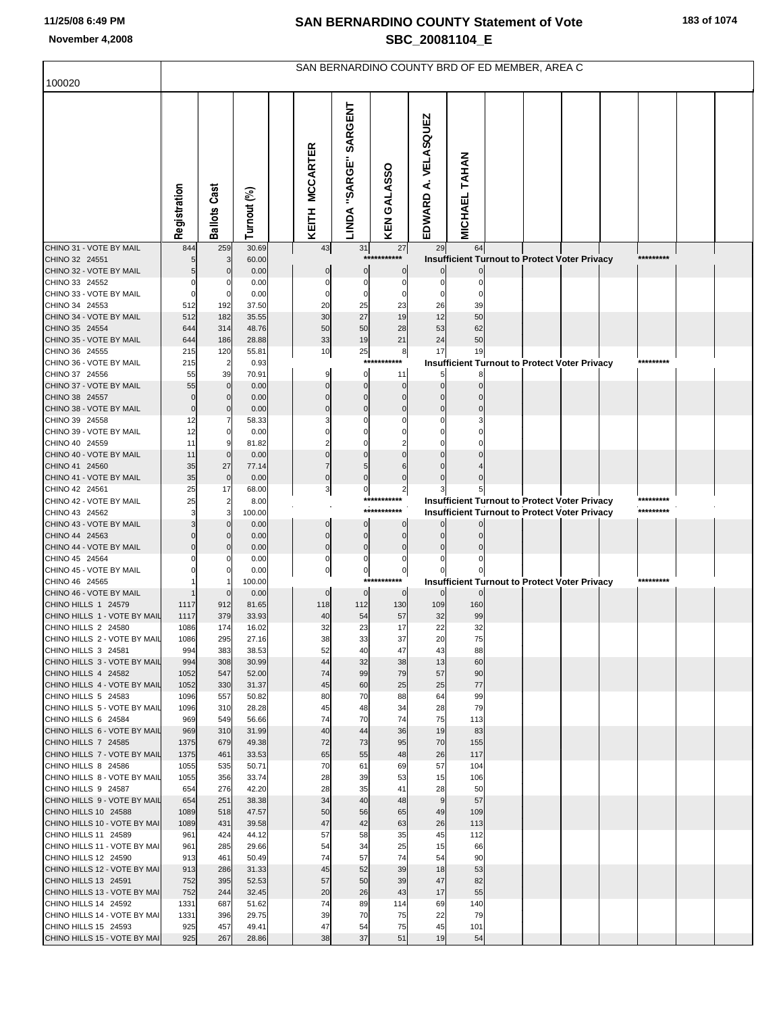|                                                      | SAN BERNARDINO COUNTY BRD OF ED MEMBER, AREA C |                     |                |  |                          |                          |                            |                        |                                                                 |  |  |  |  |                        |  |
|------------------------------------------------------|------------------------------------------------|---------------------|----------------|--|--------------------------|--------------------------|----------------------------|------------------------|-----------------------------------------------------------------|--|--|--|--|------------------------|--|
| 100020                                               |                                                |                     |                |  |                          |                          |                            |                        |                                                                 |  |  |  |  |                        |  |
|                                                      | Registration                                   | <b>Ballots Cast</b> | Turnout (%)    |  | <b>MCCARTER</b><br>KEITH | SARGENT<br>LINDA "SARGE" | KEN GALASSO                | A. VELASQUEZ<br>EDWARD | <b>MICHAEL TAHAN</b>                                            |  |  |  |  |                        |  |
| CHINO 31 - VOTE BY MAIL                              | 844                                            | 259                 | 30.69          |  | 43                       | 31                       | 27                         | 29                     | 64                                                              |  |  |  |  |                        |  |
| CHINO 32 24551<br>CHINO 32 - VOTE BY MAIL            |                                                |                     | 60.00<br>0.00  |  | $\mathbf 0$              | $\mathbf 0$              | ***********<br>$\mathbf 0$ | $\Omega$               | Insufficient Turnout to Protect Voter Privacy<br>$\overline{0}$ |  |  |  |  | *********              |  |
| CHINO 33 24552                                       |                                                |                     | 0.00           |  | $\Omega$                 | $\mathbf 0$              | $\mathbf 0$                | $\mathbf 0$            | $\mathbf 0$                                                     |  |  |  |  |                        |  |
| CHINO 33 - VOTE BY MAIL                              |                                                |                     | 0.00           |  |                          | $\Omega$                 | $\Omega$                   | $\Omega$               |                                                                 |  |  |  |  |                        |  |
| CHINO 34 24553                                       | 512                                            | 192                 | 37.50          |  | 20                       | 25                       | 23                         | 26                     | 39                                                              |  |  |  |  |                        |  |
| CHINO 34 - VOTE BY MAIL<br>CHINO 35 24554            | 512<br>644                                     | 182<br>314          | 35.55<br>48.76 |  | 30<br>50                 | 27<br>50                 | 19<br>28                   | 12<br>53               | 50<br>62                                                        |  |  |  |  |                        |  |
| CHINO 35 - VOTE BY MAIL                              | 644                                            | 186                 | 28.88          |  | 33                       | 19                       | 21                         | 24                     | 50                                                              |  |  |  |  |                        |  |
| CHINO 36 24555                                       | 215                                            | 120                 | 55.81          |  | 10                       | 25                       | 8                          | 17                     | 19                                                              |  |  |  |  |                        |  |
| CHINO 36 - VOTE BY MAIL                              | 215                                            | $\overline{2}$      | 0.93           |  |                          | $***$                    |                            |                        | <b>Insufficient Turnout to Protect Voter Privacy</b>            |  |  |  |  | *********              |  |
| CHINO 37 24556<br>CHINO 37 - VOTE BY MAIL            | 55<br>55                                       | 39<br>$\Omega$      | 70.91          |  |                          | 0<br>$\Omega$            | 11<br>$\overline{0}$       | 5<br>$\mathbf 0$       | 8<br>$\Omega$                                                   |  |  |  |  |                        |  |
| CHINO 38 24557                                       | $\mathcal{C}$                                  | $\Omega$            | 0.00<br>0.00   |  | $\Omega$                 | $\Omega$                 | $\mathbf 0$                | $\mathbf{0}$           |                                                                 |  |  |  |  |                        |  |
| CHINO 38 - VOTE BY MAIL                              | $\overline{0}$                                 | $\Omega$            | 0.00           |  |                          | $\Omega$                 | $\Omega$                   | $\Omega$               |                                                                 |  |  |  |  |                        |  |
| CHINO 39 24558                                       | 12                                             | 7                   | 58.33          |  |                          | C                        | C                          | $\Omega$               |                                                                 |  |  |  |  |                        |  |
| CHINO 39 - VOTE BY MAIL                              | 12                                             |                     | 0.00           |  |                          |                          |                            |                        |                                                                 |  |  |  |  |                        |  |
| CHINO 40 24559<br>CHINO 40 - VOTE BY MAIL            | 11<br>11                                       |                     | 81.82<br>0.00  |  |                          | $\Omega$                 |                            | $\Omega$               |                                                                 |  |  |  |  |                        |  |
| CHINO 41 24560                                       | 35                                             | 27                  | 77.14          |  |                          | 5                        |                            | $\Omega$               |                                                                 |  |  |  |  |                        |  |
| CHINO 41 - VOTE BY MAIL                              | 35                                             | $\mathbf 0$         | 0.00           |  | $\Omega$                 | $\Omega$                 | $\Omega$                   |                        |                                                                 |  |  |  |  |                        |  |
| CHINO 42 24561                                       | 25                                             | 17                  | 68.00          |  | 3                        | $\overline{0}$           | $\overline{\mathbf{c}}$    |                        |                                                                 |  |  |  |  |                        |  |
| CHINO 42 - VOTE BY MAIL<br>CHINO 43 24562            | 25                                             | $\overline{2}$<br>3 | 8.00<br>100.00 |  |                          |                          | ***********<br>*********** |                        | Insufficient Turnout to Protect Voter Privacy                   |  |  |  |  | *********<br>********* |  |
| CHINO 43 - VOTE BY MAIL                              |                                                |                     | 0.00           |  | $\Omega$                 | $\Omega$                 | $\overline{0}$             | $\Omega$               | Insufficient Turnout to Protect Voter Privacy                   |  |  |  |  |                        |  |
| CHINO 44 24563                                       |                                                |                     | 0.00           |  | $\Omega$                 | $\mathbf{0}$             | $\mathbf 0$                | $\Omega$               |                                                                 |  |  |  |  |                        |  |
| CHINO 44 - VOTE BY MAIL                              |                                                |                     | 0.00           |  | $\mathbf{0}$             | $\mathbf 0$              | $\Omega$                   | $\Omega$               |                                                                 |  |  |  |  |                        |  |
| CHINO 45 24564<br>CHINO 45 - VOTE BY MAIL            |                                                |                     | 0.00           |  | $\Omega$<br>$\mathbf 0$  | $\mathbf 0$              | 0                          |                        |                                                                 |  |  |  |  |                        |  |
| CHINO 46 24565                                       |                                                |                     | 0.00<br>100.00 |  |                          | $\overline{0}$           | $\pmb{0}$<br>***********   |                        | Insufficient Turnout to Protect Voter Privacy                   |  |  |  |  | *********              |  |
| CHINO 46 - VOTE BY MAIL                              |                                                |                     | 0.00           |  | $\mathbf 0$              | $\overline{0}$           | $\overline{0}$             | $\overline{0}$         | $\overline{0}$                                                  |  |  |  |  |                        |  |
| CHINO HILLS 1 24579                                  | 1117                                           | 912                 | 81.65          |  | 118                      | 112                      | 130                        | 109                    | 160                                                             |  |  |  |  |                        |  |
| CHINO HILLS 1 - VOTE BY MAIL                         | 1117                                           | 379                 | 33.93          |  | 40                       | 54                       | 57                         | 32                     | 99                                                              |  |  |  |  |                        |  |
| CHINO HILLS 2 24580<br>CHINO HILLS 2 - VOTE BY MAIL  | 1086<br>1086                                   | 174<br>295          | 16.02<br>27.16 |  | 32<br>38                 | 23<br>33                 | 17<br>37                   | 22<br>20               | 32<br>75                                                        |  |  |  |  |                        |  |
| CHINO HILLS 3 24581                                  | 994                                            | 383                 | 38.53          |  | 52                       | 40                       | 47                         | 43                     | 88                                                              |  |  |  |  |                        |  |
| CHINO HILLS 3 - VOTE BY MAIL                         | 994                                            | 308                 | 30.99          |  | 44                       | 32                       | 38                         | 13                     | 60                                                              |  |  |  |  |                        |  |
| CHINO HILLS 4 24582                                  | 1052                                           | 547                 | 52.00          |  | 74                       | 99                       | 79                         | 57                     | 90                                                              |  |  |  |  |                        |  |
| CHINO HILLS 4 - VOTE BY MAIL<br>CHINO HILLS 5 24583  | 1052<br>1096                                   | 330<br>557          | 31.37<br>50.82 |  | 45<br>80                 | 60<br>70                 | 25<br>88                   | 25<br>64               | 77<br>99                                                        |  |  |  |  |                        |  |
| CHINO HILLS 5 - VOTE BY MAIL                         | 1096                                           | 310                 | 28.28          |  | 45                       | 48                       | 34                         | 28                     | 79                                                              |  |  |  |  |                        |  |
| CHINO HILLS 6 24584                                  | 969                                            | 549                 | 56.66          |  | 74                       | 70                       | 74                         | 75                     | 113                                                             |  |  |  |  |                        |  |
| CHINO HILLS 6 - VOTE BY MAIL                         | 969                                            | 310                 | 31.99          |  | 40                       | 44                       | 36                         | 19                     | 83                                                              |  |  |  |  |                        |  |
| CHINO HILLS 7 24585<br>CHINO HILLS 7 - VOTE BY MAIL  | 1375<br>1375                                   | 679<br>461          | 49.38<br>33.53 |  | 72<br>65                 | 73<br>55                 | 95<br>48                   | 70<br>26               | 155<br>117                                                      |  |  |  |  |                        |  |
| CHINO HILLS 8 24586                                  | 1055                                           | 535                 | 50.71          |  | 70                       | 61                       | 69                         | 57                     | 104                                                             |  |  |  |  |                        |  |
| CHINO HILLS 8 - VOTE BY MAIL                         | 1055                                           | 356                 | 33.74          |  | 28                       | 39                       | 53                         | 15                     | 106                                                             |  |  |  |  |                        |  |
| CHINO HILLS 9 24587                                  | 654                                            | 276                 | 42.20          |  | 28                       | 35                       | 41                         | 28                     | 50                                                              |  |  |  |  |                        |  |
| CHINO HILLS 9 - VOTE BY MAIL<br>CHINO HILLS 10 24588 | 654<br>1089                                    | 251<br>518          | 38.38<br>47.57 |  | 34<br>50                 | 40<br>56                 | 48<br>65                   | 9<br>49                | 57<br>109                                                       |  |  |  |  |                        |  |
| CHINO HILLS 10 - VOTE BY MAI                         | 1089                                           | 431                 | 39.58          |  | 47                       | 42                       | 63                         | 26                     | 113                                                             |  |  |  |  |                        |  |
| CHINO HILLS 11 24589                                 | 961                                            | 424                 | 44.12          |  | 57                       | 58                       | 35                         | 45                     | 112                                                             |  |  |  |  |                        |  |
| CHINO HILLS 11 - VOTE BY MAI                         | 961                                            | 285                 | 29.66          |  | 54                       | 34                       | 25                         | 15                     | 66                                                              |  |  |  |  |                        |  |
| CHINO HILLS 12 24590<br>CHINO HILLS 12 - VOTE BY MAI | 913<br>913                                     | 461<br>286          | 50.49<br>31.33 |  | 74<br>45                 | 57<br>52                 | 74<br>39                   | 54<br>18               | 90<br>53                                                        |  |  |  |  |                        |  |
| CHINO HILLS 13 24591                                 | 752                                            | 395                 | 52.53          |  | 57                       | 50                       | 39                         | 47                     | 82                                                              |  |  |  |  |                        |  |
| CHINO HILLS 13 - VOTE BY MAI                         | 752                                            | 244                 | 32.45          |  | 20                       | 26                       | 43                         | 17                     | 55                                                              |  |  |  |  |                        |  |
| CHINO HILLS 14 24592                                 | 1331                                           | 687                 | 51.62          |  | 74                       | 89                       | 114                        | 69                     | 140                                                             |  |  |  |  |                        |  |
| CHINO HILLS 14 - VOTE BY MAI<br>CHINO HILLS 15 24593 | 1331<br>925                                    | 396<br>457          | 29.75<br>49.41 |  | 39<br>47                 | 70<br>54                 | 75<br>75                   | 22<br>45               | 79<br>101                                                       |  |  |  |  |                        |  |
| CHINO HILLS 15 - VOTE BY MAI                         | 925                                            | 267                 | 28.86          |  | 38                       | 37                       | 51                         | 19                     | 54                                                              |  |  |  |  |                        |  |
|                                                      |                                                |                     |                |  |                          |                          |                            |                        |                                                                 |  |  |  |  |                        |  |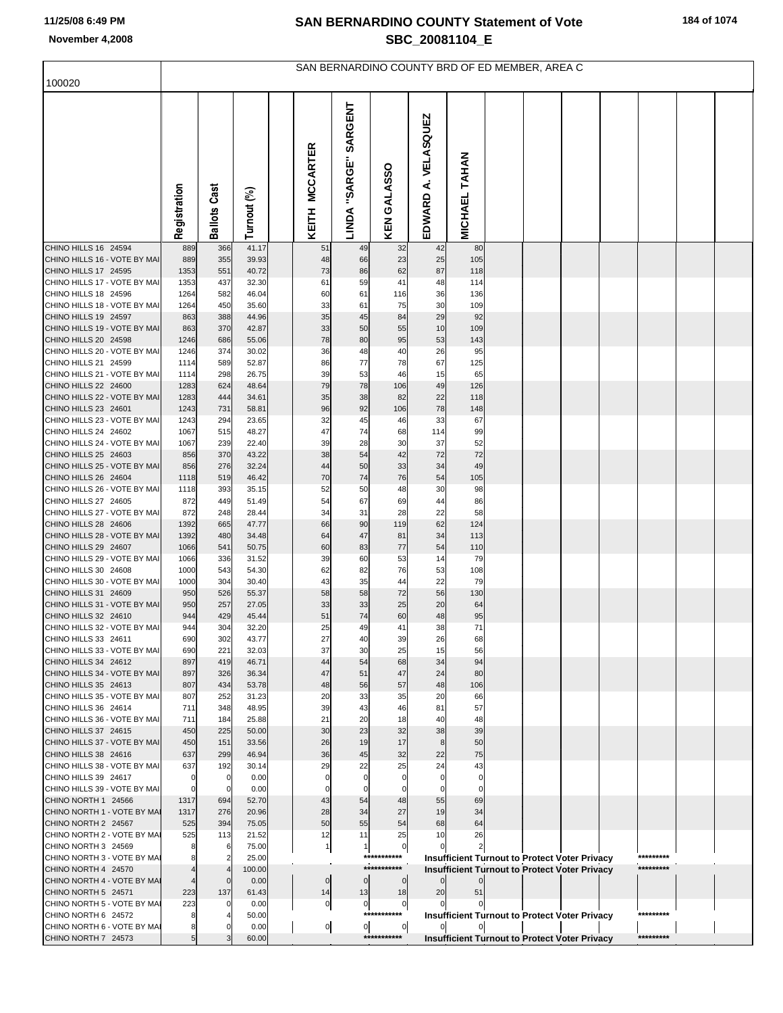|  |  |  | 184 of 1074 |
|--|--|--|-------------|
|--|--|--|-------------|

|                                                      | SAN BERNARDINO COUNTY BRD OF ED MEMBER, AREA C |                            |                |  |                            |                             |                                 |                        |                      |  |  |                                                      |  |           |  |
|------------------------------------------------------|------------------------------------------------|----------------------------|----------------|--|----------------------------|-----------------------------|---------------------------------|------------------------|----------------------|--|--|------------------------------------------------------|--|-----------|--|
| 100020                                               |                                                |                            |                |  |                            |                             |                                 |                        |                      |  |  |                                                      |  |           |  |
|                                                      | Registration                                   | <b>Ballots Cast</b>        | Turnout (%)    |  | <b>MCCARTER</b><br>KEITH   | SARGENT<br>"SARGE"<br>LINDA | KEN GALASSO                     | A. VELASQUEZ<br>EDWARD | <b>MICHAEL TAHAN</b> |  |  |                                                      |  |           |  |
| CHINO HILLS 16 24594                                 | 889                                            | 366                        | 41.17          |  | 51                         | 49                          | 32                              | 42                     | 80                   |  |  |                                                      |  |           |  |
| CHINO HILLS 16 - VOTE BY MAI<br>CHINO HILLS 17 24595 | 889<br>1353                                    | 355<br>551                 | 39.93<br>40.72 |  | 48<br>73                   | 66<br>86                    | 23<br>62                        | 25<br>87               | 105<br>118           |  |  |                                                      |  |           |  |
| CHINO HILLS 17 - VOTE BY MAI                         | 1353                                           | 437                        | 32.30          |  | 61                         | 59                          | 41                              | 48                     | 114                  |  |  |                                                      |  |           |  |
| CHINO HILLS 18 24596                                 | 1264                                           | 582                        | 46.04          |  | 60                         | 61                          | 116                             | 36                     | 136                  |  |  |                                                      |  |           |  |
| CHINO HILLS 18 - VOTE BY MAI                         | 1264                                           | 450                        | 35.60          |  | 33                         | 61                          | 75                              | 30                     | 109                  |  |  |                                                      |  |           |  |
| CHINO HILLS 19 24597                                 | 863                                            | 388                        | 44.96          |  | 35                         | 45                          | 84                              | 29                     | 92                   |  |  |                                                      |  |           |  |
| CHINO HILLS 19 - VOTE BY MAI<br>CHINO HILLS 20 24598 | 863<br>1246                                    | 370<br>686                 | 42.87<br>55.06 |  | 33<br>78                   | 50<br>80                    | 55<br>95                        | 10<br>53               | 109<br>143           |  |  |                                                      |  |           |  |
| CHINO HILLS 20 - VOTE BY MAI                         | 1246                                           | 374                        | 30.02          |  | 36                         | 48                          | 40                              | 26                     | 95                   |  |  |                                                      |  |           |  |
| CHINO HILLS 21 24599                                 | 1114                                           | 589                        | 52.87          |  | 86                         | 77                          | 78                              | 67                     | 125                  |  |  |                                                      |  |           |  |
| CHINO HILLS 21 - VOTE BY MAI                         | 1114                                           | 298                        | 26.75          |  | 39                         | 53                          | 46                              | 15                     | 65                   |  |  |                                                      |  |           |  |
| CHINO HILLS 22 24600                                 | 1283                                           | 624                        | 48.64          |  | 79                         | 78                          | 106                             | 49                     | 126                  |  |  |                                                      |  |           |  |
| CHINO HILLS 22 - VOTE BY MAI<br>CHINO HILLS 23 24601 | 1283<br>1243                                   | 444<br>731                 | 34.61<br>58.81 |  | 35<br>96                   | 38<br>92                    | 82<br>106                       | 22<br>78               | 118<br>148           |  |  |                                                      |  |           |  |
| CHINO HILLS 23 - VOTE BY MAI                         | 1243                                           | 294                        | 23.65          |  | 32                         | 45                          | 46                              | 33                     | 67                   |  |  |                                                      |  |           |  |
| CHINO HILLS 24 24602                                 | 1067                                           | 515                        | 48.27          |  | 47                         | 74                          | 68                              | 114                    | 99                   |  |  |                                                      |  |           |  |
| CHINO HILLS 24 - VOTE BY MAI                         | 1067                                           | 239                        | 22.40          |  | 39                         | 28                          | 30                              | 37                     | 52                   |  |  |                                                      |  |           |  |
| CHINO HILLS 25 24603                                 | 856                                            | 370                        | 43.22          |  | 38                         | 54                          | 42                              | 72                     | 72                   |  |  |                                                      |  |           |  |
| CHINO HILLS 25 - VOTE BY MAI<br>CHINO HILLS 26 24604 | 856<br>1118                                    | 276<br>519                 | 32.24<br>46.42 |  | 44<br>70                   | 50<br>74                    | 33<br>76                        | 34<br>54               | 49<br>105            |  |  |                                                      |  |           |  |
| CHINO HILLS 26 - VOTE BY MAI                         | 1118                                           | 393                        | 35.15          |  | 52                         | 50                          | 48                              | 30                     | 98                   |  |  |                                                      |  |           |  |
| CHINO HILLS 27 24605                                 | 872                                            | 449                        | 51.49          |  | 54                         | 67                          | 69                              | 44                     | 86                   |  |  |                                                      |  |           |  |
| CHINO HILLS 27 - VOTE BY MAI                         | 872                                            | 248                        | 28.44          |  | 34                         | 31                          | 28                              | 22                     | 58                   |  |  |                                                      |  |           |  |
| CHINO HILLS 28 24606                                 | 1392                                           | 665                        | 47.77          |  | 66                         | 90                          | 119                             | 62                     | 124                  |  |  |                                                      |  |           |  |
| CHINO HILLS 28 - VOTE BY MAI<br>CHINO HILLS 29 24607 | 1392<br>1066                                   | 480<br>541                 | 34.48<br>50.75 |  | 64<br>60                   | 47<br>83                    | 81<br>77                        | 34<br>54               | 113<br>110           |  |  |                                                      |  |           |  |
| CHINO HILLS 29 - VOTE BY MAI                         | 1066                                           | 336                        | 31.52          |  | 39                         | 60                          | 53                              | 14                     | 79                   |  |  |                                                      |  |           |  |
| CHINO HILLS 30 24608                                 | 1000                                           | 543                        | 54.30          |  | 62                         | 82                          | 76                              | 53                     | 108                  |  |  |                                                      |  |           |  |
| CHINO HILLS 30 - VOTE BY MAI                         | 1000                                           | 304                        | 30.40          |  | 43                         | 35                          | 44                              | 22                     | 79                   |  |  |                                                      |  |           |  |
| CHINO HILLS 31 24609<br>CHINO HILLS 31 - VOTE BY MAI | 950<br>950                                     | 526<br>257                 | 55.37<br>27.05 |  | 58<br>33                   | 58<br>33                    | 72<br>25                        | 56<br>20               | 130<br>64            |  |  |                                                      |  |           |  |
| CHINO HILLS 32 24610                                 | 944                                            | 429                        | 45.44          |  | 51                         | 74                          | 60                              | 48                     | 95                   |  |  |                                                      |  |           |  |
| CHINO HILLS 32 - VOTE BY MAI                         | 944                                            | 304                        | 32.20          |  | 25                         | 49                          | 41                              | 38                     | 71                   |  |  |                                                      |  |           |  |
| CHINO HILLS 33 24611                                 | 690                                            | 302                        | 43.77          |  | 27                         | 40                          | 39                              | 26                     | 68                   |  |  |                                                      |  |           |  |
| CHINO HILLS 33 - VOTE BY MAI                         | 690                                            | 221                        | 32.03          |  | 37                         | 30                          | 25                              | 15                     | 56                   |  |  |                                                      |  |           |  |
| CHINO HILLS 34 24612<br>CHINO HILLS 34 - VOTE BY MAI | 897<br>897                                     | 419<br>326                 | 46.71<br>36.34 |  | 44<br>47                   | 54<br>51                    | 68<br>47                        | 34<br>24               | 94<br>80             |  |  |                                                      |  |           |  |
| CHINO HILLS 35 24613                                 | 807                                            | 434                        | 53.78          |  | 48                         | 56                          | 57                              | 48                     | 106                  |  |  |                                                      |  |           |  |
| CHINO HILLS 35 - VOTE BY MAI                         | 807                                            | 252                        | 31.23          |  | 20                         | 33                          | 35                              | 20                     | 66                   |  |  |                                                      |  |           |  |
| CHINO HILLS 36 24614                                 | 711                                            | 348                        | 48.95          |  | 39                         | 43                          | 46                              | 81                     | 57                   |  |  |                                                      |  |           |  |
| CHINO HILLS 36 - VOTE BY MAI<br>CHINO HILLS 37 24615 | 711<br>450                                     | 184<br>225                 | 25.88<br>50.00 |  | 21<br>30                   | 20<br>23                    | 18<br>32                        | 40<br>38               | 48<br>39             |  |  |                                                      |  |           |  |
| CHINO HILLS 37 - VOTE BY MAI                         | 450                                            | 151                        | 33.56          |  | 26                         | 19                          | 17                              | 8                      | 50                   |  |  |                                                      |  |           |  |
| CHINO HILLS 38 24616                                 | 637                                            | 299                        | 46.94          |  | 36                         | 45                          | 32                              | 22                     | 75                   |  |  |                                                      |  |           |  |
| CHINO HILLS 38 - VOTE BY MAI                         | 637                                            | 192                        | 30.14          |  | 29                         | 22                          | 25                              | 24                     | 43                   |  |  |                                                      |  |           |  |
| CHINO HILLS 39 24617<br>CHINO HILLS 39 - VOTE BY MAI | $\mathbf 0$<br>$\mathbf 0$                     | $\mathbf 0$<br>$\mathbf 0$ | 0.00<br>0.00   |  | $\mathbf 0$<br>$\mathbf 0$ | 0<br>0                      |                                 |                        | $\Omega$             |  |  |                                                      |  |           |  |
| CHINO NORTH 1 24566                                  | 1317                                           | 694                        | 52.70          |  | 43                         | 54                          | 48                              | 55                     | 69                   |  |  |                                                      |  |           |  |
| CHINO NORTH 1 - VOTE BY MAI                          | 1317                                           | 276                        | 20.96          |  | 28                         | 34                          | 27                              | 19                     | 34                   |  |  |                                                      |  |           |  |
| CHINO NORTH 2 24567                                  | 525                                            | 394                        | 75.05          |  | 50                         | 55                          | 54                              | 68                     | 64                   |  |  |                                                      |  |           |  |
| CHINO NORTH 2 - VOTE BY MAI                          | 525                                            | 113                        | 21.52          |  | 12                         | 11                          | 25                              | 10                     | 26                   |  |  |                                                      |  |           |  |
| CHINO NORTH 3 24569<br>CHINO NORTH 3 - VOTE BY MAI   |                                                | 6<br>$\overline{2}$        | 75.00<br>25.00 |  | 1                          | 1                           | $\mathbf 0$<br>***********      |                        |                      |  |  | <b>Insufficient Turnout to Protect Voter Privacy</b> |  | ********* |  |
| CHINO NORTH 4 24570                                  |                                                | $\overline{4}$             | 100.00         |  |                            |                             | ***********                     |                        |                      |  |  | <b>Insufficient Turnout to Protect Voter Privacy</b> |  | ********* |  |
| CHINO NORTH 4 - VOTE BY MAI                          |                                                | $\Omega$                   | 0.00           |  | $\overline{0}$             | $\overline{0}$              | $\mathbf 0$                     | $\Omega$               |                      |  |  |                                                      |  |           |  |
| CHINO NORTH 5 24571                                  | 223                                            | 137                        | 61.43          |  | 14                         | 13                          | 18                              | 20                     | 51                   |  |  |                                                      |  |           |  |
| CHINO NORTH 5 - VOTE BY MA<br>CHINO NORTH 6 24572    | 223                                            | $\Omega$                   | 0.00<br>50.00  |  | $\overline{0}$             | $\overline{0}$              | $\boldsymbol{0}$<br>*********** |                        |                      |  |  |                                                      |  | ********* |  |
| CHINO NORTH 6 - VOTE BY MAI                          | 8                                              | 0                          | 0.00           |  | $\mathbf{0}$               | $\overline{0}$              | $\overline{0}$                  |                        |                      |  |  | <b>Insufficient Turnout to Protect Voter Privacy</b> |  |           |  |
| CHINO NORTH 7 24573                                  | 5                                              |                            | 60.00          |  |                            |                             | ***********                     |                        |                      |  |  | <b>Insufficient Turnout to Protect Voter Privacy</b> |  | ********* |  |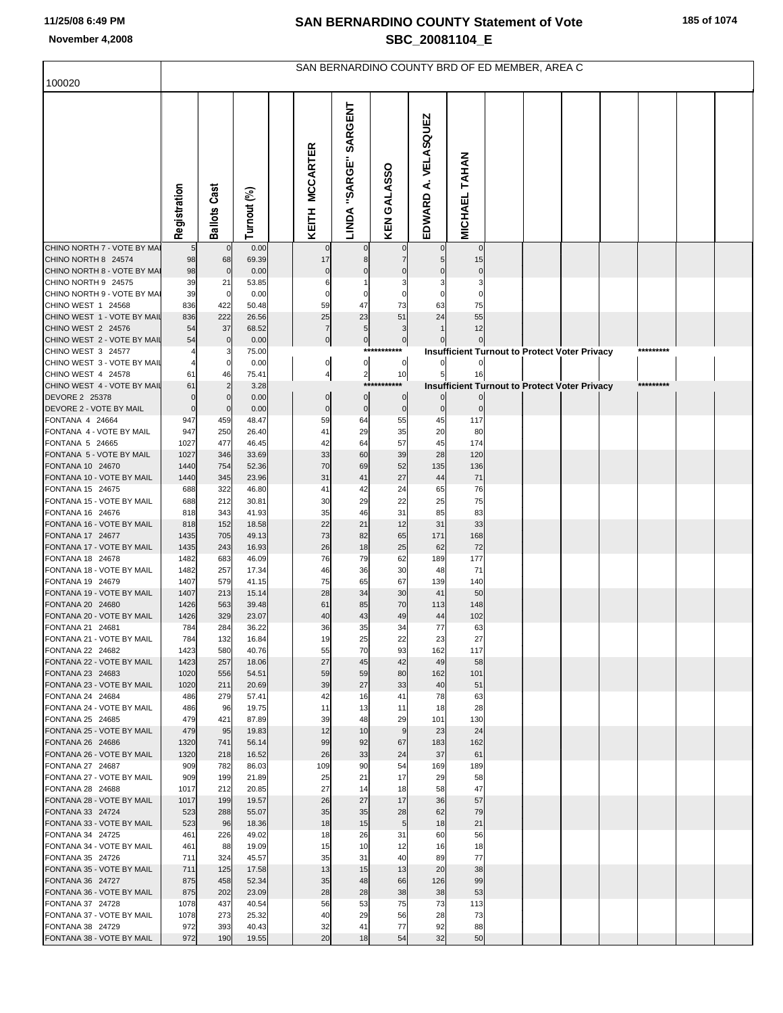|                                                    | SAN BERNARDINO COUNTY BRD OF ED MEMBER, AREA C |                            |                |  |                             |                                 |                                 |                        |                      |                                                      |  |  |  |           |  |  |
|----------------------------------------------------|------------------------------------------------|----------------------------|----------------|--|-----------------------------|---------------------------------|---------------------------------|------------------------|----------------------|------------------------------------------------------|--|--|--|-----------|--|--|
| 100020                                             |                                                |                            |                |  |                             |                                 |                                 |                        |                      |                                                      |  |  |  |           |  |  |
|                                                    | Registration                                   | <b>Ballots Cast</b>        | Turnout (%)    |  | KEITH MCCARTER              | <b>SARGENT</b><br>LINDA "SARGE" | KEN GALASSO                     | A. VELASQUEZ<br>EDWARD | <b>MICHAEL TAHAN</b> |                                                      |  |  |  |           |  |  |
| CHINO NORTH 7 - VOTE BY MA                         |                                                | $\mathbf 0$                | 0.00           |  |                             |                                 |                                 |                        |                      |                                                      |  |  |  |           |  |  |
| CHINO NORTH 8 24574<br>CHINO NORTH 8 - VOTE BY MAI | 98<br>98                                       | 68<br>$\overline{0}$       | 69.39<br>0.00  |  | 17<br>$\mathbf 0$           |                                 | 7                               |                        | 15                   |                                                      |  |  |  |           |  |  |
| CHINO NORTH 9 24575                                | 39                                             | 21                         | 53.85          |  | 6                           |                                 | 3                               |                        |                      |                                                      |  |  |  |           |  |  |
| CHINO NORTH 9 - VOTE BY MAI                        | 39                                             | $\mathbf 0$                | 0.00           |  | $\mathbf 0$                 | $\mathbf 0$                     | $\Omega$                        |                        | $\Omega$             |                                                      |  |  |  |           |  |  |
| CHINO WEST 1 24568                                 | 836                                            | 422                        | 50.48          |  | 59                          | 47                              | 73                              | 63                     | 75                   |                                                      |  |  |  |           |  |  |
| CHINO WEST 1 - VOTE BY MAIL                        | 836                                            | 222                        | 26.56          |  | 25                          | 23                              | 51                              | 24                     | 55                   |                                                      |  |  |  |           |  |  |
| CHINO WEST 2 24576<br>CHINO WEST 2 - VOTE BY MAIL  | 54<br>54                                       | 37<br>$\mathbf 0$          | 68.52<br>0.00  |  | $\overline{7}$<br>$\pmb{0}$ | 5                               | 3                               |                        | 12                   |                                                      |  |  |  |           |  |  |
| CHINO WEST 3 24577                                 |                                                |                            | 75.00          |  |                             | $\mathbf{0}$                    | $\boldsymbol{0}$<br>*********** |                        |                      | <b>Insufficient Turnout to Protect Voter Privacy</b> |  |  |  | ********* |  |  |
| CHINO WEST 3 - VOTE BY MAIL                        | $\overline{4}$                                 |                            | 0.00           |  | $\pmb{0}$                   | $\pmb{0}$                       | 0                               |                        |                      |                                                      |  |  |  |           |  |  |
| CHINO WEST 4 24578                                 | 61                                             | 46                         | 75.41          |  | $\overline{4}$              | $\overline{2}$                  | 10                              | 5                      | 16                   |                                                      |  |  |  |           |  |  |
| CHINO WEST 4 - VOTE BY MAIL                        | 61                                             |                            | 3.28           |  |                             | ***:                            | ******                          |                        |                      | <b>Insufficient Turnout to Protect Voter Privacy</b> |  |  |  | ********* |  |  |
| DEVORE 2 25378<br>DEVORE 2 - VOTE BY MAIL          | $\mathbf 0$<br>$\mathbf 0$                     | $\mathbf 0$<br>$\mathbf 0$ | 0.00<br>0.00   |  | $\pmb{0}$<br>$\pmb{0}$      | $\pmb{0}$<br>$\bf{0}$           | $\bf{0}$<br>$\pmb{0}$           | $\bf{0}$               |                      |                                                      |  |  |  |           |  |  |
| FONTANA 4 24664                                    | 947                                            | 459                        | 48.47          |  | 59                          | 64                              | 55                              | 45                     | 117                  |                                                      |  |  |  |           |  |  |
| FONTANA 4 - VOTE BY MAIL                           | 947                                            | 250                        | 26.40          |  | 41                          | 29                              | 35                              | 20                     | 80                   |                                                      |  |  |  |           |  |  |
| FONTANA 5 24665                                    | 1027                                           | 477                        | 46.45          |  | 42                          | 64                              | 57                              | 45                     | 174                  |                                                      |  |  |  |           |  |  |
| FONTANA 5 - VOTE BY MAIL                           | 1027                                           | 346                        | 33.69          |  | 33                          | 60                              | 39                              | 28                     | 120                  |                                                      |  |  |  |           |  |  |
| FONTANA 10 24670<br>FONTANA 10 - VOTE BY MAIL      | 1440<br>1440                                   | 754<br>345                 | 52.36<br>23.96 |  | 70<br>31                    | 69<br>41                        | 52<br>27                        | 135<br>44              | 136<br>71            |                                                      |  |  |  |           |  |  |
| FONTANA 15 24675                                   | 688                                            | 322                        | 46.80          |  | 41                          | 42                              | 24                              | 65                     | 76                   |                                                      |  |  |  |           |  |  |
| FONTANA 15 - VOTE BY MAIL                          | 688                                            | 212                        | 30.81          |  | 30                          | 29                              | 22                              | 25                     | 75                   |                                                      |  |  |  |           |  |  |
| FONTANA 16 24676                                   | 818                                            | 343                        | 41.93          |  | 35                          | 46                              | 31                              | 85                     | 83                   |                                                      |  |  |  |           |  |  |
| FONTANA 16 - VOTE BY MAIL<br>FONTANA 17 24677      | 818<br>1435                                    | 152<br>705                 | 18.58<br>49.13 |  | 22<br>73                    | 21<br>82                        | 12<br>65                        | 31<br>171              | 33<br>168            |                                                      |  |  |  |           |  |  |
| FONTANA 17 - VOTE BY MAIL                          | 1435                                           | 243                        | 16.93          |  | 26                          | 18                              | 25                              | 62                     | 72                   |                                                      |  |  |  |           |  |  |
| FONTANA 18 24678                                   | 1482                                           | 683                        | 46.09          |  | 76                          | 79                              | 62                              | 189                    | 177                  |                                                      |  |  |  |           |  |  |
| FONTANA 18 - VOTE BY MAIL                          | 1482                                           | 257                        | 17.34          |  | 46                          | 36                              | 30                              | 48                     | 71                   |                                                      |  |  |  |           |  |  |
| FONTANA 19 24679                                   | 1407                                           | 579                        | 41.15          |  | 75                          | 65                              | 67                              | 139                    | 140                  |                                                      |  |  |  |           |  |  |
| FONTANA 19 - VOTE BY MAIL<br>FONTANA 20 24680      | 1407<br>1426                                   | 213<br>563                 | 15.14<br>39.48 |  | 28<br>61                    | 34<br>85                        | 30<br>70                        | 41<br>113              | 50<br>148            |                                                      |  |  |  |           |  |  |
| FONTANA 20 - VOTE BY MAIL                          | 1426                                           | 329                        | 23.07          |  | 40                          | 43                              | 49                              | 44                     | 102                  |                                                      |  |  |  |           |  |  |
| FONTANA 21 24681                                   | 784                                            | 284                        | 36.22          |  | 36                          | 35                              | 34                              | 77                     | 63                   |                                                      |  |  |  |           |  |  |
| FONTANA 21 - VOTE BY MAIL                          | 784                                            | 132                        | 16.84          |  | 19                          | 25                              | 22                              | 23                     | 27                   |                                                      |  |  |  |           |  |  |
| FONTANA 22 24682<br>FONTANA 22 - VOTE BY MAIL      | 1423<br>1423                                   | 580<br>257                 | 40.76<br>18.06 |  | 55<br>27                    | 70<br>45                        | 93<br>42                        | 162<br>49              | 117<br>58            |                                                      |  |  |  |           |  |  |
| FONTANA 23 24683                                   | 1020                                           | 556                        | 54.51          |  | 59                          | 59                              | 80                              | 162                    | 101                  |                                                      |  |  |  |           |  |  |
| FONTANA 23 - VOTE BY MAIL                          | 1020                                           | 211                        | 20.69          |  | 39                          | 27                              | 33                              | 40                     | 51                   |                                                      |  |  |  |           |  |  |
| FONTANA 24 24684                                   | 486                                            | 279                        | 57.41          |  | 42                          | 16                              | 41                              | 78                     | 63                   |                                                      |  |  |  |           |  |  |
| FONTANA 24 - VOTE BY MAIL<br>FONTANA 25 24685      | 486<br>479                                     | 96<br>421                  | 19.75<br>87.89 |  | 11<br>39                    | 13<br>48                        | 11<br>29                        | 18<br>101              | 28<br>130            |                                                      |  |  |  |           |  |  |
| FONTANA 25 - VOTE BY MAIL                          | 479                                            | 95                         | 19.83          |  | 12                          | 10                              | 9                               | 23                     | 24                   |                                                      |  |  |  |           |  |  |
| FONTANA 26 24686                                   | 1320                                           | 741                        | 56.14          |  | 99                          | 92                              | 67                              | 183                    | 162                  |                                                      |  |  |  |           |  |  |
| FONTANA 26 - VOTE BY MAIL                          | 1320                                           | 218                        | 16.52          |  | 26                          | 33                              | 24                              | 37                     | 61                   |                                                      |  |  |  |           |  |  |
| FONTANA 27 24687<br>FONTANA 27 - VOTE BY MAIL      | 909                                            | 782                        | 86.03          |  | 109<br>25                   | 90                              | 54<br>17                        | 169                    | 189                  |                                                      |  |  |  |           |  |  |
| FONTANA 28 24688                                   | 909<br>1017                                    | 199<br>212                 | 21.89<br>20.85 |  | 27                          | 21<br>14                        | 18                              | 29<br>58               | 58<br>47             |                                                      |  |  |  |           |  |  |
| FONTANA 28 - VOTE BY MAIL                          | 1017                                           | 199                        | 19.57          |  | 26                          | 27                              | 17                              | 36                     | 57                   |                                                      |  |  |  |           |  |  |
| FONTANA 33 24724                                   | 523                                            | 288                        | 55.07          |  | 35                          | 35                              | 28                              | 62                     | 79                   |                                                      |  |  |  |           |  |  |
| FONTANA 33 - VOTE BY MAIL                          | 523                                            | 96                         | 18.36          |  | 18                          | 15                              | 5                               | 18                     | 21                   |                                                      |  |  |  |           |  |  |
| FONTANA 34 24725<br>FONTANA 34 - VOTE BY MAIL      | 461<br>461                                     | 226<br>88                  | 49.02<br>19.09 |  | 18<br>15                    | 26<br>10                        | 31<br>12                        | 60<br>16               | 56<br>18             |                                                      |  |  |  |           |  |  |
| FONTANA 35 24726                                   | 711                                            | 324                        | 45.57          |  | 35                          | 31                              | 40                              | 89                     | 77                   |                                                      |  |  |  |           |  |  |
| FONTANA 35 - VOTE BY MAIL                          | 711                                            | 125                        | 17.58          |  | 13                          | 15                              | 13                              | 20                     | 38                   |                                                      |  |  |  |           |  |  |
| FONTANA 36 24727                                   | 875                                            | 458                        | 52.34          |  | 35                          | 48                              | 66                              | 126                    | 99                   |                                                      |  |  |  |           |  |  |
| FONTANA 36 - VOTE BY MAIL                          | 875                                            | 202                        | 23.09          |  | 28                          | 28                              | 38                              | 38                     | 53                   |                                                      |  |  |  |           |  |  |
| FONTANA 37 24728<br>FONTANA 37 - VOTE BY MAIL      | 1078<br>1078                                   | 437<br>273                 | 40.54<br>25.32 |  | 56<br>40                    | 53<br>29                        | 75<br>56                        | 73<br>28               | 113<br>73            |                                                      |  |  |  |           |  |  |
| FONTANA 38 24729                                   | 972                                            | 393                        | 40.43          |  | 32                          | 41                              | 77                              | 92                     | 88                   |                                                      |  |  |  |           |  |  |
| FONTANA 38 - VOTE BY MAIL                          | 972                                            | 190                        | 19.55          |  | 20                          | 18                              | 54                              | 32                     | 50                   |                                                      |  |  |  |           |  |  |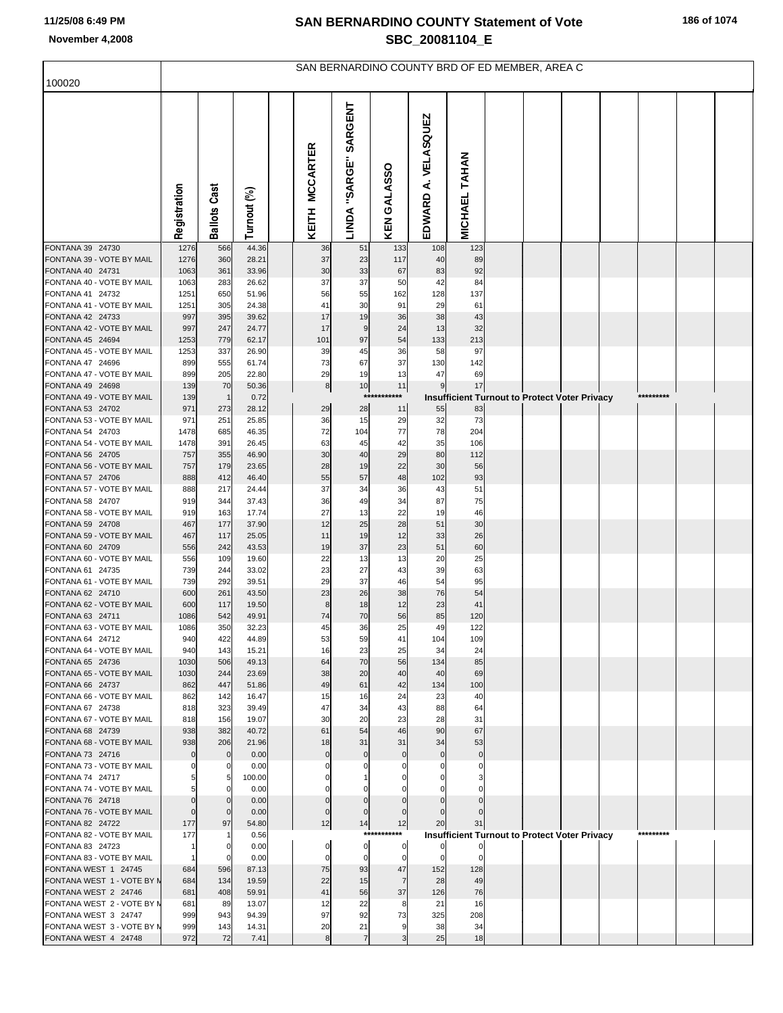|  |  |  |  | 186 of 1074 |
|--|--|--|--|-------------|
|--|--|--|--|-------------|

|                                                    | SAN BERNARDINO COUNTY BRD OF ED MEMBER, AREA C |                     |                |  |                          |                             |                      |                         |                      |  |                                                      |  |  |           |  |
|----------------------------------------------------|------------------------------------------------|---------------------|----------------|--|--------------------------|-----------------------------|----------------------|-------------------------|----------------------|--|------------------------------------------------------|--|--|-----------|--|
| 100020                                             |                                                |                     |                |  |                          |                             |                      |                         |                      |  |                                                      |  |  |           |  |
|                                                    | Registration                                   | <b>Ballots Cast</b> | Turnout (%)    |  | <b>MCCARTER</b><br>KEITH | SARGENT<br>"SARGE"<br>LINDA | KEN GALASSO          | A. VELASQUEZ<br>EDWARD  | <b>MICHAEL TAHAN</b> |  |                                                      |  |  |           |  |
| FONTANA 39 24730                                   | 1276                                           | 566                 | 44.36          |  | 36                       | 51                          | 133                  | 108                     | 123                  |  |                                                      |  |  |           |  |
| FONTANA 39 - VOTE BY MAIL                          | 1276                                           | 360                 | 28.21          |  | 37                       | 23                          | 117                  | 40                      | 89                   |  |                                                      |  |  |           |  |
| FONTANA 40 24731<br>FONTANA 40 - VOTE BY MAIL      | 1063<br>1063                                   | 361<br>283          | 33.96<br>26.62 |  | 30<br>37                 | 33<br>37                    | 67<br>50             | 83<br>42                | 92<br>84             |  |                                                      |  |  |           |  |
| FONTANA 41 24732                                   | 1251                                           | 650                 | 51.96          |  | 56                       | 55                          | 162                  | 128                     | 137                  |  |                                                      |  |  |           |  |
| FONTANA 41 - VOTE BY MAIL                          | 1251                                           | 305                 | 24.38          |  | 41                       | 30                          | 91                   | 29                      | 61                   |  |                                                      |  |  |           |  |
| FONTANA 42 24733                                   | 997                                            | 395                 | 39.62          |  | 17                       | 19                          | 36                   | 38                      | 43                   |  |                                                      |  |  |           |  |
| FONTANA 42 - VOTE BY MAIL<br>FONTANA 45 24694      | 997<br>1253                                    | 247<br>779          | 24.77<br>62.17 |  | 17<br>101                | 9<br>97                     | 24<br>54             | 13<br>133               | 32<br>213            |  |                                                      |  |  |           |  |
| FONTANA 45 - VOTE BY MAIL                          | 1253                                           | 337                 | 26.90          |  | 39                       | 45                          | 36                   | 58                      | 97                   |  |                                                      |  |  |           |  |
| FONTANA 47 24696                                   | 899                                            | 555                 | 61.74          |  | 73                       | 67                          | 37                   | 130                     | 142                  |  |                                                      |  |  |           |  |
| FONTANA 47 - VOTE BY MAIL                          | 899                                            | 205                 | 22.80          |  | 29                       | 19                          | 13                   | 47                      | 69                   |  |                                                      |  |  |           |  |
| FONTANA 49 24698<br>FONTANA 49 - VOTE BY MAIL      | 139<br>139                                     | 70<br>$\mathbf{1}$  | 50.36<br>0.72  |  | 8                        | 10<br>***                   | 11<br>****           | 9                       | 17                   |  | <b>Insufficient Turnout to Protect Voter Privacy</b> |  |  | ********* |  |
| FONTANA 53 24702                                   | 971                                            | 273                 | 28.12          |  | 29                       | 28                          | 11                   | 55                      | 83                   |  |                                                      |  |  |           |  |
| FONTANA 53 - VOTE BY MAIL                          | 971                                            | 251                 | 25.85          |  | 36                       | 15                          | 29                   | 32                      | 73                   |  |                                                      |  |  |           |  |
| FONTANA 54 24703                                   | 1478                                           | 685                 | 46.35          |  | 72                       | 104                         | 77                   | 78                      | 204                  |  |                                                      |  |  |           |  |
| FONTANA 54 - VOTE BY MAIL<br>FONTANA 56 24705      | 1478<br>757                                    | 391<br>355          | 26.45<br>46.90 |  | 63<br>30                 | 45<br>40                    | 42<br>29             | 35<br>80                | 106<br>112           |  |                                                      |  |  |           |  |
| FONTANA 56 - VOTE BY MAIL                          | 757                                            | 179                 | 23.65          |  | 28                       | 19                          | 22                   | 30                      | 56                   |  |                                                      |  |  |           |  |
| FONTANA 57 24706                                   | 888                                            | 412                 | 46.40          |  | 55                       | 57                          | 48                   | 102                     | 93                   |  |                                                      |  |  |           |  |
| FONTANA 57 - VOTE BY MAIL                          | 888                                            | 217                 | 24.44          |  | 37                       | 34                          | 36                   | 43                      | 51                   |  |                                                      |  |  |           |  |
| FONTANA 58 24707<br>FONTANA 58 - VOTE BY MAIL      | 919<br>919                                     | 344<br>163          | 37.43<br>17.74 |  | 36<br>27                 | 49<br>13                    | 34<br>22             | 87<br>19                | 75<br>46             |  |                                                      |  |  |           |  |
| FONTANA 59 24708                                   | 467                                            | 177                 | 37.90          |  | 12                       | 25                          | 28                   | 51                      | 30                   |  |                                                      |  |  |           |  |
| FONTANA 59 - VOTE BY MAIL                          | 467                                            | 117                 | 25.05          |  | 11                       | 19                          | 12                   | 33                      | 26                   |  |                                                      |  |  |           |  |
| FONTANA 60 24709<br>FONTANA 60 - VOTE BY MAIL      | 556                                            | 242<br>109          | 43.53          |  | 19<br>22                 | 37<br>13                    | 23<br>13             | 51<br>20                | 60<br>25             |  |                                                      |  |  |           |  |
| FONTANA 61 24735                                   | 556<br>739                                     | 244                 | 19.60<br>33.02 |  | 23                       | 27                          | 43                   | 39                      | 63                   |  |                                                      |  |  |           |  |
| FONTANA 61 - VOTE BY MAIL                          | 739                                            | 292                 | 39.51          |  | 29                       | 37                          | 46                   | 54                      | 95                   |  |                                                      |  |  |           |  |
| FONTANA 62 24710                                   | 600                                            | 261                 | 43.50          |  | 23                       | 26                          | 38                   | 76                      | 54                   |  |                                                      |  |  |           |  |
| FONTANA 62 - VOTE BY MAIL<br>FONTANA 63 24711      | 600<br>1086                                    | 117<br>542          | 19.50<br>49.91 |  | 8<br>74                  | 18<br>70                    | 12<br>56             | 23<br>85                | 41<br>120            |  |                                                      |  |  |           |  |
| FONTANA 63 - VOTE BY MAIL                          | 1086                                           | 350                 | 32.23          |  | 45                       | 36                          | 25                   | 49                      | 122                  |  |                                                      |  |  |           |  |
| FONTANA 64 24712                                   | 940                                            | 422                 | 44.89          |  | 53                       | 59                          | 41                   | 104                     | 109                  |  |                                                      |  |  |           |  |
| FONTANA 64 - VOTE BY MAIL                          | 940                                            | 143                 | 15.21          |  | 16                       | 23                          | 25                   | 34                      | 24                   |  |                                                      |  |  |           |  |
| FONTANA 65 24736<br>FONTANA 65 - VOTE BY MAIL      | 1030<br>1030                                   | 506<br>244          | 49.13<br>23.69 |  | 64<br>38                 | 70<br>20                    | 56<br>40             | 134<br>40               | 85<br>69             |  |                                                      |  |  |           |  |
| FONTANA 66 24737                                   | 862                                            | 447                 | 51.86          |  | 49                       | 61                          | 42                   | 134                     | 100                  |  |                                                      |  |  |           |  |
| FONTANA 66 - VOTE BY MAIL                          | 862                                            | 142                 | 16.47          |  | 15                       | 16                          | 24                   | 23                      | 40                   |  |                                                      |  |  |           |  |
| FONTANA 67 24738                                   | 818                                            | 323                 | 39.49          |  | 47                       | 34                          | 43                   | 88                      | 64                   |  |                                                      |  |  |           |  |
| FONTANA 67 - VOTE BY MAIL<br>FONTANA 68 24739      | 818<br>938                                     | 156<br>382          | 19.07<br>40.72 |  | 30<br>61                 | 20<br>54                    | 23<br>46             | 28<br>90                | 31<br>67             |  |                                                      |  |  |           |  |
| FONTANA 68 - VOTE BY MAIL                          | 938                                            | 206                 | 21.96          |  | 18                       | 31                          | 31                   | 34                      | 53                   |  |                                                      |  |  |           |  |
| FONTANA 73 24716                                   | $\Omega$                                       | $\mathbf 0$         | 0.00           |  | $\mathbf{0}$             | $\mathbf 0$                 | $\mathbf 0$          | $\mathbf 0$             | $\mathbf 0$          |  |                                                      |  |  |           |  |
| FONTANA 73 - VOTE BY MAIL<br>FONTANA 74 24717      | 0<br>5                                         | 0<br>5              | 0.00<br>100.00 |  |                          |                             |                      | $\mathbf 0$<br>$\Omega$ | $\Omega$             |  |                                                      |  |  |           |  |
| FONTANA 74 - VOTE BY MAIL                          | 5                                              | 0                   | 0.00           |  |                          |                             |                      | 0                       |                      |  |                                                      |  |  |           |  |
| FONTANA 76 24718                                   | $\Omega$                                       | $\mathbf 0$         | 0.00           |  | $\Omega$                 | $\Omega$                    | $\Omega$             | $\Omega$                |                      |  |                                                      |  |  |           |  |
| FONTANA 76 - VOTE BY MAIL                          | $\Omega$                                       | $\mathbf 0$         | 0.00           |  | $\Omega$                 | 0                           | $\mathbf 0$          | $\Omega$                |                      |  |                                                      |  |  |           |  |
| FONTANA 82 24722<br>FONTANA 82 - VOTE BY MAIL      | 177<br>177                                     | 97<br>-1            | 54.80<br>0.56  |  | 12                       | 14                          | 12<br>***********    | 20                      | 31                   |  | <b>Insufficient Turnout to Protect Voter Privacy</b> |  |  | ********* |  |
| FONTANA 83 24723                                   |                                                | 0                   | 0.00           |  | 0                        | $\pmb{0}$                   | $\overline{0}$       | 0                       | $\Omega$             |  |                                                      |  |  |           |  |
| FONTANA 83 - VOTE BY MAIL                          |                                                | $\Omega$            | 0.00           |  | $\Omega$                 | 0                           | $\overline{0}$       | $\mathbf 0$             | $\Omega$             |  |                                                      |  |  |           |  |
| FONTANA WEST 1 24745                               | 684                                            | 596                 | 87.13          |  | 75                       | 93                          | 47                   | 152                     | 128                  |  |                                                      |  |  |           |  |
| FONTANA WEST 1 - VOTE BY N<br>FONTANA WEST 2 24746 | 684<br>681                                     | 134<br>408          | 19.59<br>59.91 |  | 22<br>41                 | 15<br>56                    | $\overline{7}$<br>37 | 28<br>126               | 49<br>76             |  |                                                      |  |  |           |  |
| FONTANA WEST 2 - VOTE BY N                         | 681                                            | 89                  | 13.07          |  | 12                       | 22                          | 8                    | 21                      | 16                   |  |                                                      |  |  |           |  |
| FONTANA WEST 3 24747                               | 999                                            | 943                 | 94.39          |  | 97                       | 92                          | 73                   | 325                     | 208                  |  |                                                      |  |  |           |  |
| FONTANA WEST 3 - VOTE BY N                         | 999                                            | 143                 | 14.31          |  | 20                       | 21                          | 9                    | 38                      | 34                   |  |                                                      |  |  |           |  |
| FONTANA WEST 4 24748                               | 972                                            | 72                  | 7.41           |  | 8                        | $\overline{7}$              | $\overline{3}$       | 25                      | 18                   |  |                                                      |  |  |           |  |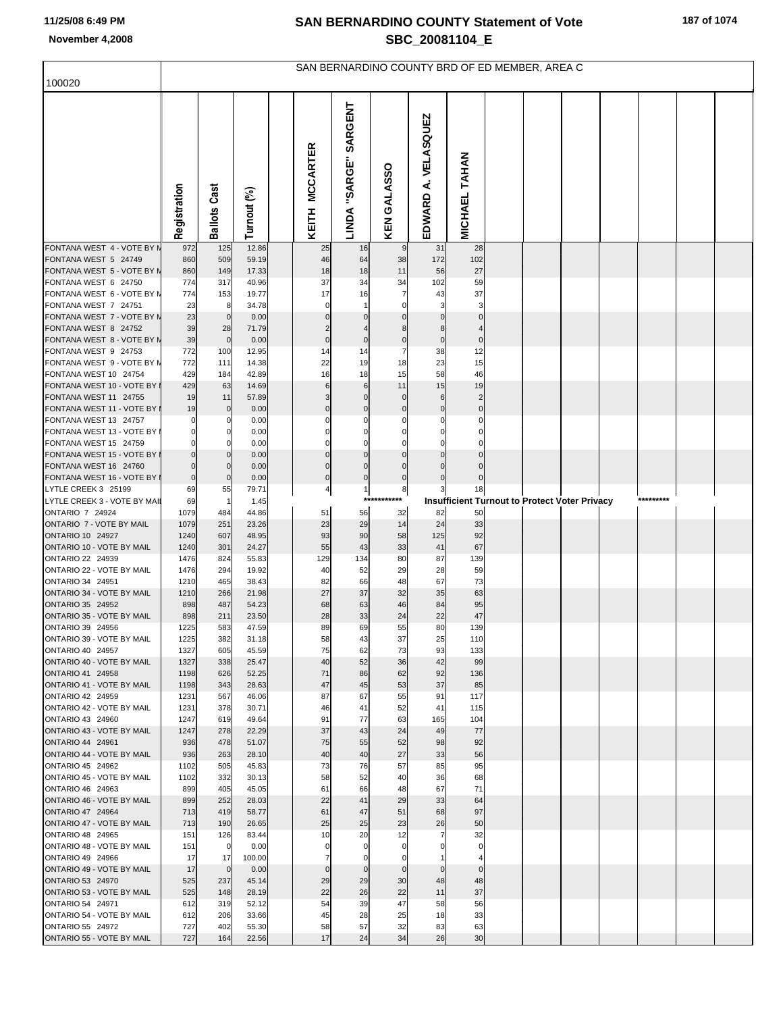| 187 of 1074 |  |  |  |
|-------------|--|--|--|
|-------------|--|--|--|

|                                                     | SAN BERNARDINO COUNTY BRD OF ED MEMBER, AREA C |                     |                |  |                         |                                |                   |                     |                      |  |  |                                                      |  |           |  |
|-----------------------------------------------------|------------------------------------------------|---------------------|----------------|--|-------------------------|--------------------------------|-------------------|---------------------|----------------------|--|--|------------------------------------------------------|--|-----------|--|
| 100020                                              |                                                |                     |                |  |                         |                                |                   |                     |                      |  |  |                                                      |  |           |  |
|                                                     | Registration                                   | <b>Ballots Cast</b> | Turnout (%)    |  | KEITH MCCARTER          | SARGENT<br>LINDA "SARGE"       | KEN GALASSO       | EDWARD A. VELASQUEZ | MICHAEL TAHAN        |  |  |                                                      |  |           |  |
| FONTANA WEST 4 - VOTE BY N                          | 972                                            | 125                 | 12.86          |  | 25                      | 16                             | 9                 | 31                  | 28                   |  |  |                                                      |  |           |  |
| FONTANA WEST 5 24749<br>FONTANA WEST 5 - VOTE BY N  | 860<br>860                                     | 509<br>149          | 59.19<br>17.33 |  | 46<br>18                | 64<br>18                       | 38<br>11          | 172<br>56           | 102<br>27            |  |  |                                                      |  |           |  |
| FONTANA WEST 6 24750                                | 774                                            | 317                 | 40.96          |  | 37                      | 34                             | 34                | 102                 | 59                   |  |  |                                                      |  |           |  |
| FONTANA WEST 6 - VOTE BY N                          | 774                                            | 153                 | 19.77          |  | 17                      | 16                             | 7                 | 43                  | 37                   |  |  |                                                      |  |           |  |
| FONTANA WEST 7 24751                                | 23                                             | 8                   | 34.78          |  | $\mathbf 0$             |                                | $\Omega$          | 3                   | 3                    |  |  |                                                      |  |           |  |
| FONTANA WEST 7 - VOTE BY N<br>FONTANA WEST 8 24752  | 23<br>39                                       | $\overline{0}$      | 0.00           |  |                         |                                | 8                 | 8                   |                      |  |  |                                                      |  |           |  |
| FONTANA WEST 8 - VOTE BY N                          | 39                                             | 28<br>$\mathbf 0$   | 71.79<br>0.00  |  | 2<br>$\mathbf 0$        | $\bf{0}$                       | $\pmb{0}$         | $\pmb{0}$           | $\mathbf 0$          |  |  |                                                      |  |           |  |
| FONTANA WEST 9 24753                                | 772                                            | 100                 | 12.95          |  | 14                      | 14                             | 7                 | 38                  | 12                   |  |  |                                                      |  |           |  |
| FONTANA WEST 9 - VOTE BY N                          | 772                                            | 111                 | 14.38          |  | 22                      | 19                             | 18                | 23                  | 15                   |  |  |                                                      |  |           |  |
| FONTANA WEST 10 24754                               | 429                                            | 184                 | 42.89          |  | 16                      | 18                             | 15                | 58                  | 46                   |  |  |                                                      |  |           |  |
| FONTANA WEST 10 - VOTE BY<br>FONTANA WEST 11 24755  | 429<br>19                                      | 63<br>11            | 14.69<br>57.89 |  | 6<br>3                  | $6\phantom{1}6$<br>$\mathbf 0$ | 11<br>$\mathbf 0$ | 15<br>6             | 19<br>$\overline{2}$ |  |  |                                                      |  |           |  |
| FONTANA WEST 11 - VOTE BY                           | 19                                             | $\overline{0}$      | 0.00           |  | $\mathbf 0$             | $\mathbf 0$                    | $\bf 0$           | $\mathbf 0$         | $\mathbf 0$          |  |  |                                                      |  |           |  |
| FONTANA WEST 13 24757                               | 0                                              | 0                   | 0.00           |  | 0                       | $\Omega$                       | 0                 | $\Omega$            | $\mathsf{C}$         |  |  |                                                      |  |           |  |
| FONTANA WEST 13 - VOTE BY                           | $\mathbf 0$                                    | 0                   | 0.00           |  | 0                       |                                |                   |                     |                      |  |  |                                                      |  |           |  |
| FONTANA WEST 15 24759                               | $\mathbf 0$                                    | 0                   | 0.00           |  | $\Omega$                | $\Omega$                       | $\Omega$          |                     |                      |  |  |                                                      |  |           |  |
| FONTANA WEST 15 - VOTE BY<br>FONTANA WEST 16 24760  | $\Omega$<br>$\mathbf 0$                        | 0<br>$\mathbf{0}$   | 0.00<br>0.00   |  | $\Omega$<br>$\mathbf 0$ | $\Omega$                       | $\mathbf 0$       |                     | C                    |  |  |                                                      |  |           |  |
| FONTANA WEST 16 - VOTE BY                           | $\pmb{0}$                                      | $\mathbf 0$         | 0.00           |  | $\mathbf 0$             | $\pmb{0}$                      | $\mathbf 0$       | $\Omega$            |                      |  |  |                                                      |  |           |  |
| LYTLE CREEK 3 25199                                 | 69                                             | 55                  | 79.71          |  | $\overline{a}$          | $\mathbf{1}$                   | 8                 | 3                   | 18                   |  |  |                                                      |  |           |  |
| LYTLE CREEK 3 - VOTE BY MAIL                        | 69                                             | $\overline{1}$      | 1.45           |  |                         | ****                           | *******           |                     |                      |  |  | <b>Insufficient Turnout to Protect Voter Privacy</b> |  | ********* |  |
| <b>ONTARIO 7 24924</b>                              | 1079                                           | 484                 | 44.86          |  | 51                      | 56                             | 32<br>14          | 82<br>24            | 50                   |  |  |                                                      |  |           |  |
| ONTARIO 7 - VOTE BY MAIL<br><b>ONTARIO 10 24927</b> | 1079<br>1240                                   | 251<br>607          | 23.26<br>48.95 |  | 23<br>93                | 29<br>90                       | 58                | 125                 | 33<br>92             |  |  |                                                      |  |           |  |
| ONTARIO 10 - VOTE BY MAIL                           | 1240                                           | 301                 | 24.27          |  | 55                      | 43                             | 33                | 41                  | 67                   |  |  |                                                      |  |           |  |
| ONTARIO 22 24939                                    | 1476                                           | 824                 | 55.83          |  | 129                     | 134                            | 80                | 87                  | 139                  |  |  |                                                      |  |           |  |
| ONTARIO 22 - VOTE BY MAIL                           | 1476                                           | 294                 | 19.92          |  | 40                      | 52                             | 29                | 28                  | 59                   |  |  |                                                      |  |           |  |
| ONTARIO 34 24951<br>ONTARIO 34 - VOTE BY MAIL       | 1210<br>1210                                   | 465<br>266          | 38.43<br>21.98 |  | 82<br>27                | 66<br>37                       | 48<br>32          | 67<br>35            | 73<br>63             |  |  |                                                      |  |           |  |
| ONTARIO 35 24952                                    | 898                                            | 487                 | 54.23          |  | 68                      | 63                             | 46                | 84                  | 95                   |  |  |                                                      |  |           |  |
| ONTARIO 35 - VOTE BY MAIL                           | 898                                            | 211                 | 23.50          |  | 28                      | 33                             | 24                | 22                  | 47                   |  |  |                                                      |  |           |  |
| ONTARIO 39 24956                                    | 1225                                           | 583                 | 47.59          |  | 89                      | 69                             | 55                | 80                  | 139                  |  |  |                                                      |  |           |  |
| ONTARIO 39 - VOTE BY MAIL<br>ONTARIO 40 24957       | 1225<br>1327                                   | 382<br>605          | 31.18<br>45.59 |  | 58<br>75                | 43<br>62                       | 37<br>73          | 25<br>93            | 110<br>133           |  |  |                                                      |  |           |  |
| ONTARIO 40 - VOTE BY MAIL                           | 1327                                           | 338                 | 25.47          |  | 40                      | 52                             | 36                | 42                  | 99                   |  |  |                                                      |  |           |  |
| ONTARIO 41 24958                                    | 1198                                           | 626                 | 52.25          |  | 71                      | 86                             | 62                | 92                  | 136                  |  |  |                                                      |  |           |  |
| ONTARIO 41 - VOTE BY MAIL                           | 1198                                           | 343                 | 28.63          |  | 47                      | 45                             | 53                | 37                  | 85                   |  |  |                                                      |  |           |  |
| ONTARIO 42 24959<br>ONTARIO 42 - VOTE BY MAIL       | 1231<br>1231                                   | 567<br>378          | 46.06<br>30.71 |  | 87<br>46                | 67<br>41                       | 55<br>52          | 91<br>41            | 117<br>115           |  |  |                                                      |  |           |  |
| ONTARIO 43 24960                                    | 1247                                           | 619                 | 49.64          |  | 91                      | 77                             | 63                | 165                 | 104                  |  |  |                                                      |  |           |  |
| ONTARIO 43 - VOTE BY MAIL                           | 1247                                           | 278                 | 22.29          |  | 37                      | 43                             | 24                | 49                  | 77                   |  |  |                                                      |  |           |  |
| ONTARIO 44 24961                                    | 936                                            | 478                 | 51.07          |  | 75                      | 55                             | 52                | 98                  | 92                   |  |  |                                                      |  |           |  |
| ONTARIO 44 - VOTE BY MAIL                           | 936                                            | 263                 | 28.10          |  | 40                      | 40                             | 27                | 33                  | 56                   |  |  |                                                      |  |           |  |
| ONTARIO 45 24962<br>ONTARIO 45 - VOTE BY MAIL       | 1102<br>1102                                   | 505<br>332          | 45.83<br>30.13 |  | 73<br>58                | 76<br>52                       | 57<br>40          | 85<br>36            | 95<br>68             |  |  |                                                      |  |           |  |
| ONTARIO 46 24963                                    | 899                                            | 405                 | 45.05          |  | 61                      | 66                             | 48                | 67                  | 71                   |  |  |                                                      |  |           |  |
| ONTARIO 46 - VOTE BY MAIL                           | 899                                            | 252                 | 28.03          |  | 22                      | 41                             | 29                | 33                  | 64                   |  |  |                                                      |  |           |  |
| ONTARIO 47 24964                                    | 713                                            | 419                 | 58.77          |  | 61                      | 47                             | 51                | 68                  | 97                   |  |  |                                                      |  |           |  |
| ONTARIO 47 - VOTE BY MAIL<br>ONTARIO 48 24965       | 713<br>151                                     | 190<br>126          | 26.65<br>83.44 |  | 25<br>10                | 25<br>20                       | 23<br>12          | 26<br>7             | 50<br>32             |  |  |                                                      |  |           |  |
| ONTARIO 48 - VOTE BY MAIL                           | 151                                            | $\overline{0}$      | 0.00           |  | 0                       | $\Omega$                       | $\Omega$          |                     | $\mathbf 0$          |  |  |                                                      |  |           |  |
| ONTARIO 49 24966                                    | 17                                             | 17                  | 100.00         |  | $\overline{7}$          | $\mathbf 0$                    | $\mathbf 0$       |                     | $\overline{4}$       |  |  |                                                      |  |           |  |
| ONTARIO 49 - VOTE BY MAIL                           | 17                                             | $\overline{0}$      | 0.00           |  | $\mathbf{0}$            | $\mathbf 0$                    | $\mathbf 0$       | $\Omega$            | $\Omega$             |  |  |                                                      |  |           |  |
| ONTARIO 53 24970                                    | 525                                            | 237                 | 45.14          |  | 29                      | 29                             | 30                | 48                  | 48                   |  |  |                                                      |  |           |  |
| ONTARIO 53 - VOTE BY MAIL<br>ONTARIO 54 24971       | 525<br>612                                     | 148<br>319          | 28.19<br>52.12 |  | 22<br>54                | 26<br>39                       | 22<br>47          | 11<br>58            | 37<br>56             |  |  |                                                      |  |           |  |
| ONTARIO 54 - VOTE BY MAIL                           | 612                                            | 206                 | 33.66          |  | 45                      | 28                             | 25                | 18                  | 33                   |  |  |                                                      |  |           |  |
| ONTARIO 55 24972                                    | 727                                            | 402                 | 55.30          |  | 58                      | 57                             | 32                | 83                  | 63                   |  |  |                                                      |  |           |  |
| ONTARIO 55 - VOTE BY MAIL                           | 727                                            | 164                 | 22.56          |  | 17                      | 24                             | 34                | 26                  | 30                   |  |  |                                                      |  |           |  |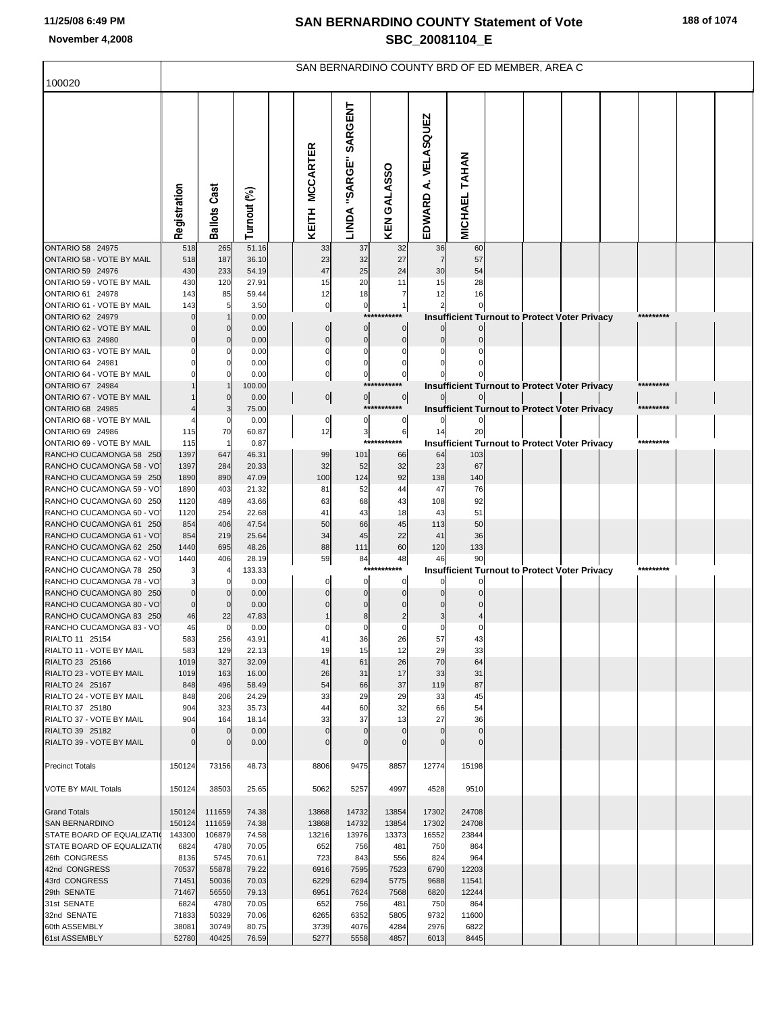|                                                     | SAN BERNARDINO COUNTY BRD OF ED MEMBER, AREA C |                     |                |                |                                                           |                               |                      |                      |                                                      |  |  |  |           |  |  |
|-----------------------------------------------------|------------------------------------------------|---------------------|----------------|----------------|-----------------------------------------------------------|-------------------------------|----------------------|----------------------|------------------------------------------------------|--|--|--|-----------|--|--|
| 100020                                              |                                                |                     |                |                |                                                           |                               |                      |                      |                                                      |  |  |  |           |  |  |
|                                                     | Registration                                   | <b>Ballots Cast</b> | Turnout (%)    | KEITH MCCARTER | SARGENT<br>LINDA "SARGE"                                  | KEN GALASSO                   | EDWARD A. VELASQUEZ  | <b>MICHAEL TAHAN</b> |                                                      |  |  |  |           |  |  |
| <b>ONTARIO 58 24975</b>                             | 518                                            | 265                 | 51.16          | 33             | 37                                                        | 32                            | 36                   | 60                   |                                                      |  |  |  |           |  |  |
| ONTARIO 58 - VOTE BY MAIL<br>ONTARIO 59 24976       | 518<br>430                                     | 187<br>233          | 36.10<br>54.19 | 23<br>47       | 32<br>25                                                  | 27<br>24                      | $\overline{7}$<br>30 | 57<br>54             |                                                      |  |  |  |           |  |  |
| ONTARIO 59 - VOTE BY MAIL                           | 430                                            | 120                 | 27.91          | 15             | 20                                                        | 11                            | 15                   | 28                   |                                                      |  |  |  |           |  |  |
| ONTARIO 61 24978                                    | 143                                            | 85                  | 59.44          | 12             | 18                                                        | 7                             | 12                   | 16                   |                                                      |  |  |  |           |  |  |
| ONTARIO 61 - VOTE BY MAIL                           | 143                                            | 5                   | 3.50           |                | $\mathbf{0}$<br>$\pmb{0}$                                 | $\mathbf{1}$                  |                      |                      |                                                      |  |  |  |           |  |  |
| ONTARIO 62 24979                                    | $\Omega$                                       |                     | 0.00           |                | $***$                                                     | ****                          |                      |                      | <b>Insufficient Turnout to Protect Voter Privacy</b> |  |  |  | ********  |  |  |
| ONTARIO 62 - VOTE BY MAIL<br>ONTARIO 63 24980       | $\Omega$<br>$\Omega$                           |                     | 0.00<br>0.00   |                | $\mathbf 0$<br>$\overline{0}$<br>$\pmb{0}$<br>$\mathbf 0$ | $\overline{0}$<br>$\mathbf 0$ |                      |                      |                                                      |  |  |  |           |  |  |
| ONTARIO 63 - VOTE BY MAIL                           |                                                |                     | 0.00           |                | $\mathbf 0$<br>0                                          | $\Omega$                      |                      |                      |                                                      |  |  |  |           |  |  |
| ONTARIO 64 24981                                    |                                                |                     | 0.00           |                | $\mathbf 0$<br>$\mathbf 0$                                | $\Omega$                      |                      |                      |                                                      |  |  |  |           |  |  |
| ONTARIO 64 - VOTE BY MAIL                           |                                                |                     | 0.00           |                | $\pmb{0}$<br>$\overline{0}$                               | 0                             |                      |                      |                                                      |  |  |  |           |  |  |
| ONTARIO 67 24984                                    |                                                |                     | 100.00         |                |                                                           | ***                           |                      |                      | Insufficient Turnout to Protect Voter Privacy        |  |  |  | ********* |  |  |
| ONTARIO 67 - VOTE BY MAIL<br>ONTARIO 68 24985       |                                                |                     | 0.00<br>75.00  |                | $\circ$<br>$\overline{0}$                                 | $\circ$<br>***********        |                      |                      | <b>Insufficient Turnout to Protect Voter Privacy</b> |  |  |  | ********* |  |  |
| ONTARIO 68 - VOTE BY MAIL                           |                                                |                     | 0.00           |                | $\pmb{0}$<br>0                                            | $\overline{0}$                |                      |                      |                                                      |  |  |  |           |  |  |
| ONTARIO 69 24986                                    | 115                                            | 70                  | 60.87          | 12             | $\overline{\mathbf{3}}$                                   | 6                             | 14                   | 20                   |                                                      |  |  |  |           |  |  |
| ONTARIO 69 - VOTE BY MAIL                           | 115                                            |                     | 0.87           |                |                                                           | $***$                         |                      |                      | Insufficient Turnout to Protect Voter Privacy        |  |  |  | ********* |  |  |
| RANCHO CUCAMONGA 58 250                             | 1397                                           | 647                 | 46.31          | 99             | 101                                                       | 66                            | 64                   | 103                  |                                                      |  |  |  |           |  |  |
| RANCHO CUCAMONGA 58 - VO<br>RANCHO CUCAMONGA 59 250 | 1397<br>1890                                   | 284<br>890          | 20.33<br>47.09 | 32<br>100      | 52<br>124                                                 | 32<br>92                      | 23<br>138            | 67<br>140            |                                                      |  |  |  |           |  |  |
| RANCHO CUCAMONGA 59 - VO                            | 1890                                           | 403                 | 21.32          | 81             | 52                                                        | 44                            | 47                   | 76                   |                                                      |  |  |  |           |  |  |
| RANCHO CUCAMONGA 60 250                             | 1120                                           | 489                 | 43.66          | 63             | 68                                                        | 43                            | 108                  | 92                   |                                                      |  |  |  |           |  |  |
| RANCHO CUCAMONGA 60 - VO                            | 1120                                           | 254                 | 22.68          | 41             | 43                                                        | 18                            | 43                   | 51                   |                                                      |  |  |  |           |  |  |
| RANCHO CUCAMONGA 61 250<br>RANCHO CUCAMONGA 61 - VO | 854<br>854                                     | 406<br>219          | 47.54<br>25.64 | 50<br>34       | 66<br>45                                                  | 45<br>22                      | 113<br>41            | 50<br>36             |                                                      |  |  |  |           |  |  |
| RANCHO CUCAMONGA 62 250                             | 1440                                           | 695                 | 48.26          | 88             | 111                                                       | 60                            | 120                  | 133                  |                                                      |  |  |  |           |  |  |
| RANCHO CUCAMONGA 62 - VO                            | 1440                                           | 406                 | 28.19          | 59             | 84                                                        | 48                            | 46                   | 90                   |                                                      |  |  |  |           |  |  |
| RANCHO CUCAMONGA 78 250                             |                                                |                     | 133.33         |                |                                                           | ****<br>***                   |                      |                      | Insufficient Turnout to Protect Voter Privacy        |  |  |  | ********* |  |  |
| RANCHO CUCAMONGA 78 - VO<br>RANCHO CUCAMONGA 80 250 | $\Omega$                                       |                     | 0.00           |                | 0<br>$\mathbf 0$                                          | 0<br>$\mathbf 0$              |                      |                      |                                                      |  |  |  |           |  |  |
| RANCHO CUCAMONGA 80 - VO                            | $\Omega$                                       |                     | 0.00<br>0.00   |                | $\mathbf 0$                                               | $\mathbf 0$                   |                      |                      |                                                      |  |  |  |           |  |  |
| RANCHO CUCAMONGA 83 250                             | 46                                             | 22                  | 47.83          |                | $\bf8$                                                    | $\overline{c}$                |                      |                      |                                                      |  |  |  |           |  |  |
| RANCHO CUCAMONGA 83 - VO                            | 46                                             | $\Omega$            | 0.00           |                | $\mathbf 0$                                               | 0                             |                      |                      |                                                      |  |  |  |           |  |  |
| RIALTO 11 25154                                     | 583                                            | 256                 | 43.91          | 41             | 36                                                        | 26                            | 57                   | 43                   |                                                      |  |  |  |           |  |  |
| RIALTO 11 - VOTE BY MAIL<br>RIALTO 23 25166         | 583<br>1019                                    | 129<br>327          | 22.13<br>32.09 | 19<br>41       | 15<br>61                                                  | 12<br>26                      | 29<br>70             | 33<br>64             |                                                      |  |  |  |           |  |  |
| RIALTO 23 - VOTE BY MAIL                            | 1019                                           | 163                 | 16.00          | 26             | 31                                                        | 17                            | 33                   | 31                   |                                                      |  |  |  |           |  |  |
| RIALTO 24 25167                                     | 848                                            | 496                 | 58.49          | 54             | 66                                                        | 37                            | 119                  | 87                   |                                                      |  |  |  |           |  |  |
| RIALTO 24 - VOTE BY MAIL                            | 848                                            | 206                 | 24.29          | 33             | 29                                                        | 29                            | 33                   | 45                   |                                                      |  |  |  |           |  |  |
| RIALTO 37 25180<br>RIALTO 37 - VOTE BY MAIL         | 904<br>904                                     | 323<br>164          | 35.73<br>18.14 | 44<br>33       | 60<br>37                                                  | 32<br>13                      | 66<br>27             | 54<br>36             |                                                      |  |  |  |           |  |  |
| RIALTO 39 25182                                     | $\Omega$                                       |                     | 0.00           |                | $\Omega$<br>$\Omega$                                      | $\Omega$                      |                      | $\Omega$             |                                                      |  |  |  |           |  |  |
| RIALTO 39 - VOTE BY MAIL                            | $\Omega$                                       |                     | 0.00           |                | $\mathbf 0$<br>$\Omega$                                   | $\Omega$                      |                      | $\Omega$             |                                                      |  |  |  |           |  |  |
| <b>Precinct Totals</b>                              | 150124                                         | 73156               | 48.73          | 8806           | 9475                                                      | 8857                          | 12774                | 15198                |                                                      |  |  |  |           |  |  |
| <b>VOTE BY MAIL Totals</b>                          | 150124                                         | 38503               | 25.65          | 5062           | 5257                                                      | 4997                          | 4528                 | 9510                 |                                                      |  |  |  |           |  |  |
|                                                     |                                                |                     |                |                |                                                           |                               |                      |                      |                                                      |  |  |  |           |  |  |
| <b>Grand Totals</b>                                 | 150124                                         | 111659              | 74.38          | 13868          | 14732                                                     | 13854                         | 17302                | 24708                |                                                      |  |  |  |           |  |  |
| <b>SAN BERNARDINO</b>                               | 150124                                         | 111659              | 74.38          | 13868          | 14732                                                     | 13854                         | 17302                | 24708                |                                                      |  |  |  |           |  |  |
| <b>STATE BOARD OF EQUALIZATION</b>                  | 143300                                         | 106879              | 74.58          | 13216          | 13976                                                     | 13373                         | 16552                | 23844                |                                                      |  |  |  |           |  |  |
| <b>STATE BOARD OF EQUALIZATI</b><br>26th CONGRESS   | 6824<br>8136                                   | 4780<br>5745        | 70.05<br>70.61 | 652<br>723     | 756<br>843                                                | 481<br>556                    | 750<br>824           | 864<br>964           |                                                      |  |  |  |           |  |  |
| 42nd CONGRESS                                       | 70537                                          | 55878               | 79.22          | 6916           | 7595                                                      | 7523                          | 6790                 | 12203                |                                                      |  |  |  |           |  |  |
| 43rd CONGRESS                                       | 71451                                          | 50036               | 70.03          | 6229           | 6294                                                      | 5775                          | 9688                 | 11541                |                                                      |  |  |  |           |  |  |
| 29th SENATE                                         | 71467                                          | 56550               | 79.13          | 6951           | 7624                                                      | 7568                          | 6820                 | 12244                |                                                      |  |  |  |           |  |  |
| 31st SENATE                                         | 6824                                           | 4780                | 70.05          | 652            | 756                                                       | 481                           | 750                  | 864                  |                                                      |  |  |  |           |  |  |
| 32nd SENATE<br>60th ASSEMBLY                        | 71833<br>38081                                 | 50329<br>30749      | 70.06<br>80.75 | 6265<br>3739   | 6352<br>4076                                              | 5805<br>4284                  | 9732<br>2976         | 11600<br>6822        |                                                      |  |  |  |           |  |  |
| 61st ASSEMBLY                                       | 52780                                          | 40425               | 76.59          | 5277           | 5558                                                      | 4857                          | 6013                 | 8445                 |                                                      |  |  |  |           |  |  |